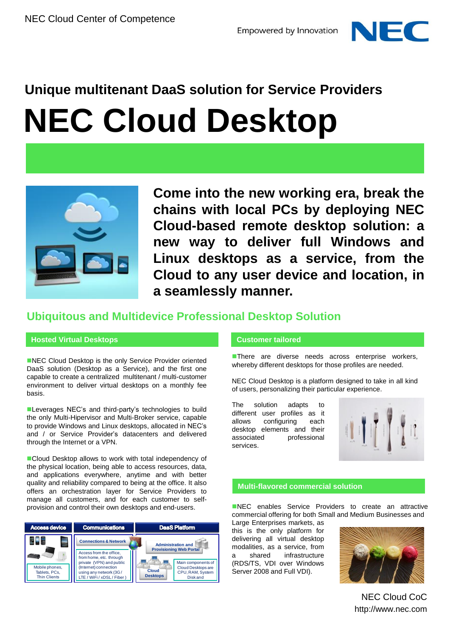



**Come into the new working era, break the chains with local PCs by deploying NEC Cloud-based remote desktop solution: a new way to deliver full Windows and Linux desktops as a service, from the Cloud to any user device and location, in a seamlessly manner.**

## **Ubiquitous and Multidevice Professional Desktop Solution**

## **Hosted Virtual Desktops**

NEC Cloud Desktop is the only Service Provider oriented DaaS solution (Desktop as a Service), and the first one capable to create a centralized multitenant / multi-customer environment to deliver virtual desktops on a monthly fee basis.

**Leverages NEC's and third-party's technologies to build** the only Multi-Hipervisor and Multi-Broker service, capable to provide Windows and Linux desktops, allocated in NEC's and / or Service Provider's datacenters and delivered through the Internet or a VPN.

Cloud Desktop allows to work with total independency of the physical location, being able to access resources, data, and applications everywhere, anytime and with better quality and reliability compared to being at the office. It also offers an orchestration layer for Service Providers to manage all customers, and for each customer to selfprovision and control their own desktops and end-users.

| <b>Access device</b>                                   | <b>Communications</b>                                                                                                                                            | <b>DaaS Platform</b>                                                                                 |
|--------------------------------------------------------|------------------------------------------------------------------------------------------------------------------------------------------------------------------|------------------------------------------------------------------------------------------------------|
| -                                                      | <b>Connections &amp; Network</b>                                                                                                                                 | <b>Administration and</b><br><b>Provisioning Web Portal</b>                                          |
| Mobile phones,<br>Tablets, PCs.<br><b>Thin Clients</b> | Access from the office,<br>from home, etc. through<br>private (VPN) and public<br>(Internet) connection<br>using any network (3G/<br>LTE / WiFi / xDSL / Fiber ) | Main components of<br>Cloud Desktops are<br>Cloud<br>CPU, RAM, System<br><b>Desktops</b><br>Disk and |

## **Customer tailored**

**There are diverse needs across enterprise workers,** whereby different desktops for those profiles are needed.

NEC Cloud Desktop is a platform designed to take in all kind of users, personalizing their particular experience.

The solution adapts to different user profiles as it allows configuring each desktop elements and their associated professional services.



## **Multi-flavored commercial solution**

NEC enables Service Providers to create an attractive commercial offering for both Small and Medium Businesses and

Large Enterprises markets, as this is the only platform for delivering all virtual desktop modalities, as a service, from a shared infrastructure (RDS/TS, VDI over Windows Server 2008 and Full VDI).



http://www.nec.com NEC Cloud CoC